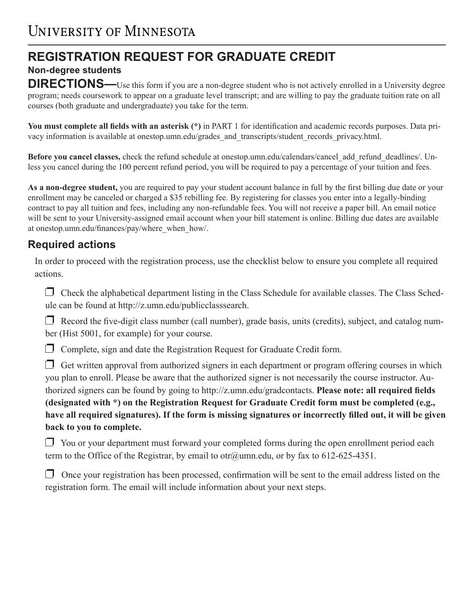# **REGISTRATION REQUEST FOR GRADUATE CREDIT**

**Non-degree students**

**DIRECTIONS—**Use this form if you are a non-degree student who is not actively enrolled in a University degree program; needs coursework to appear on a graduate level transcript; and are willing to pay the graduate tuition rate on all courses (both graduate and undergraduate) you take for the term.

**You must complete all fields with an asterisk (\*)** in PART 1 for identification and academic records purposes. Data privacy information is available at onestop.umn.edu/grades\_and\_transcripts/student\_records\_privacy.html.

**Before you cancel classes,** check the refund schedule at onestop.umn.edu/calendars/cancel\_add\_refund\_deadlines/. Unless you cancel during the 100 percent refund period, you will be required to pay a percentage of your tuition and fees.

**As a non-degree student,** you are required to pay your student account balance in full by the first billing due date or your enrollment may be canceled or charged a \$35 rebilling fee. By registering for classes you enter into a legally-binding contract to pay all tuition and fees, including any non-refundable fees. You will not receive a paper bill. An email notice will be sent to your University-assigned email account when your bill statement is online. Billing due dates are available at onestop.umn.edu/finances/pay/where\_when\_how/.

## **Required actions**

In order to proceed with the registration process, use the checklist below to ensure you complete all required actions.

 $\Box$  Check the alphabetical department listing in the Class Schedule for available classes. The Class Schedule can be found at http://z.umn.edu/publicclasssearch.

 $\Box$  Record the five-digit class number (call number), grade basis, units (credits), subject, and catalog number (Hist 5001, for example) for your course.

 $\Box$  Complete, sign and date the Registration Request for Graduate Credit form.

 $\Box$  Get written approval from authorized signers in each department or program offering courses in which you plan to enroll. Please be aware that the authorized signer is not necessarily the course instructor. Authorized signers can be found by going to http://z.umn.edu/gradcontacts. **Please note: all required fields (designated with \*) on the Registration Request for Graduate Credit form must be completed (e.g., have all required signatures). If the form is missing signatures or incorrectly filled out, it will be given back to you to complete.**

 You or your department must forward your completed forms during the open enrollment period each term to the Office of the Registrar, by email to otr@umn.edu, or by fax to 612-625-4351.

 $\Box$  Once your registration has been processed, confirmation will be sent to the email address listed on the registration form. The email will include information about your next steps.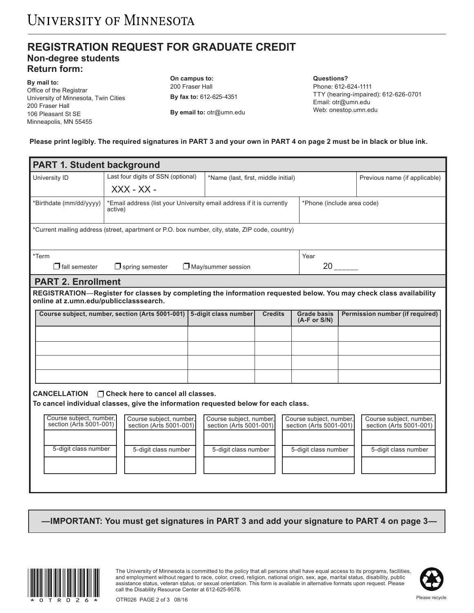### **REGISTRATION REQUEST FOR GRADUATE CREDIT Non-degree students Return form:**

**By mail to:** Office of the Registrar University of Minnesota, Twin Cities 200 Fraser Hall 106 Pleasant St SE Minneapolis, MN 55455

**On campus to:** 200 Fraser Hall **By fax to:** 612-625-4351

**By email to:** otr@umn.edu

**Questions?**  Phone: 612-624-1111 TTY (hearing-impaired): 612-626-0701 Email: otr@umn.edu Web: onestop.umn.edu

**Please print legibly. The required signatures in PART 3 and your own in PART 4 on page 2 must be in black or blue ink.**

| <b>PART 1. Student background</b>                                                               |                                                                                                                   |                                     |                                                    |                                      |                                 |                                                    |  |  |
|-------------------------------------------------------------------------------------------------|-------------------------------------------------------------------------------------------------------------------|-------------------------------------|----------------------------------------------------|--------------------------------------|---------------------------------|----------------------------------------------------|--|--|
| University ID                                                                                   | Last four digits of SSN (optional)                                                                                | *Name (last, first, middle initial) |                                                    |                                      |                                 | Previous name (if applicable)                      |  |  |
|                                                                                                 | $XXX - XX -$                                                                                                      |                                     |                                                    |                                      |                                 |                                                    |  |  |
| *Birthdate (mm/dd/yyyy)                                                                         | *Email address (list your University email address if it is currently<br>active)                                  |                                     | *Phone (include area code)                         |                                      |                                 |                                                    |  |  |
|                                                                                                 |                                                                                                                   |                                     |                                                    |                                      |                                 |                                                    |  |  |
| *Current mailing address (street, apartment or P.O. box number, city, state, ZIP code, country) |                                                                                                                   |                                     |                                                    |                                      |                                 |                                                    |  |  |
| *Term                                                                                           |                                                                                                                   |                                     |                                                    | Year                                 |                                 |                                                    |  |  |
| $\Box$ fall semester                                                                            | $\Box$ May/summer session<br>$\Box$ spring semester                                                               |                                     |                                                    |                                      | $20$ <sub>------</sub>          |                                                    |  |  |
| <b>PART 2. Enrollment</b>                                                                       |                                                                                                                   |                                     |                                                    |                                      |                                 |                                                    |  |  |
| online at z.umn.edu/publicclasssearch.                                                          | REGISTRATION-Register for classes by completing the information requested below. You may check class availability |                                     |                                                    |                                      |                                 |                                                    |  |  |
|                                                                                                 |                                                                                                                   |                                     | <b>Credits</b>                                     |                                      |                                 |                                                    |  |  |
|                                                                                                 | Course subject, number, section (Arts 5001-001)<br>5-digit class number                                           |                                     |                                                    | <b>Grade basis</b><br>$(A-F or S/N)$ | Permission number (if required) |                                                    |  |  |
|                                                                                                 |                                                                                                                   |                                     |                                                    |                                      |                                 |                                                    |  |  |
|                                                                                                 |                                                                                                                   |                                     |                                                    |                                      |                                 |                                                    |  |  |
|                                                                                                 |                                                                                                                   |                                     |                                                    |                                      |                                 |                                                    |  |  |
|                                                                                                 |                                                                                                                   |                                     |                                                    |                                      |                                 |                                                    |  |  |
|                                                                                                 |                                                                                                                   |                                     |                                                    |                                      |                                 |                                                    |  |  |
| <b>CANCELLATION</b><br>$\Box$ Check here to cancel all classes.                                 |                                                                                                                   |                                     |                                                    |                                      |                                 |                                                    |  |  |
|                                                                                                 | To cancel individual classes, give the information requested below for each class.                                |                                     |                                                    |                                      |                                 |                                                    |  |  |
| Course subject, number,<br>section (Arts 5001-001)                                              | Course subiect, number.<br>section (Arts 5001-001)                                                                |                                     | Course subiect, number.<br>section (Arts 5001-001) |                                      | Course subiect, number.         | Course subject, number,<br>section (Arts 5001-001) |  |  |
|                                                                                                 |                                                                                                                   |                                     |                                                    | section (Arts 5001-001)              |                                 |                                                    |  |  |
| 5-digit class number                                                                            | 5-digit class number                                                                                              | 5-digit class number                |                                                    | 5-digit class number                 |                                 | 5-digit class number                               |  |  |
|                                                                                                 |                                                                                                                   |                                     |                                                    |                                      |                                 |                                                    |  |  |
|                                                                                                 |                                                                                                                   |                                     |                                                    |                                      |                                 |                                                    |  |  |
|                                                                                                 |                                                                                                                   |                                     |                                                    |                                      |                                 |                                                    |  |  |

**—IMPORTANT: You must get signatures in PART 3 and add your signature to PART 4 on page 3—**



The University of Minnesota is committed to the policy that all persons shall have equal access to its programs, facilities,<br>and employment without regard to race, color, creed, religion, national origin, sex, age, marital and employment without regard to race, color, creed, religion, national origin, sex, age, marital status, disability, public assistance status, veteran status, or sexual orientation. This form is available in alternative formats upon request. Please call the Disability Resource Center at 612-625-9578.